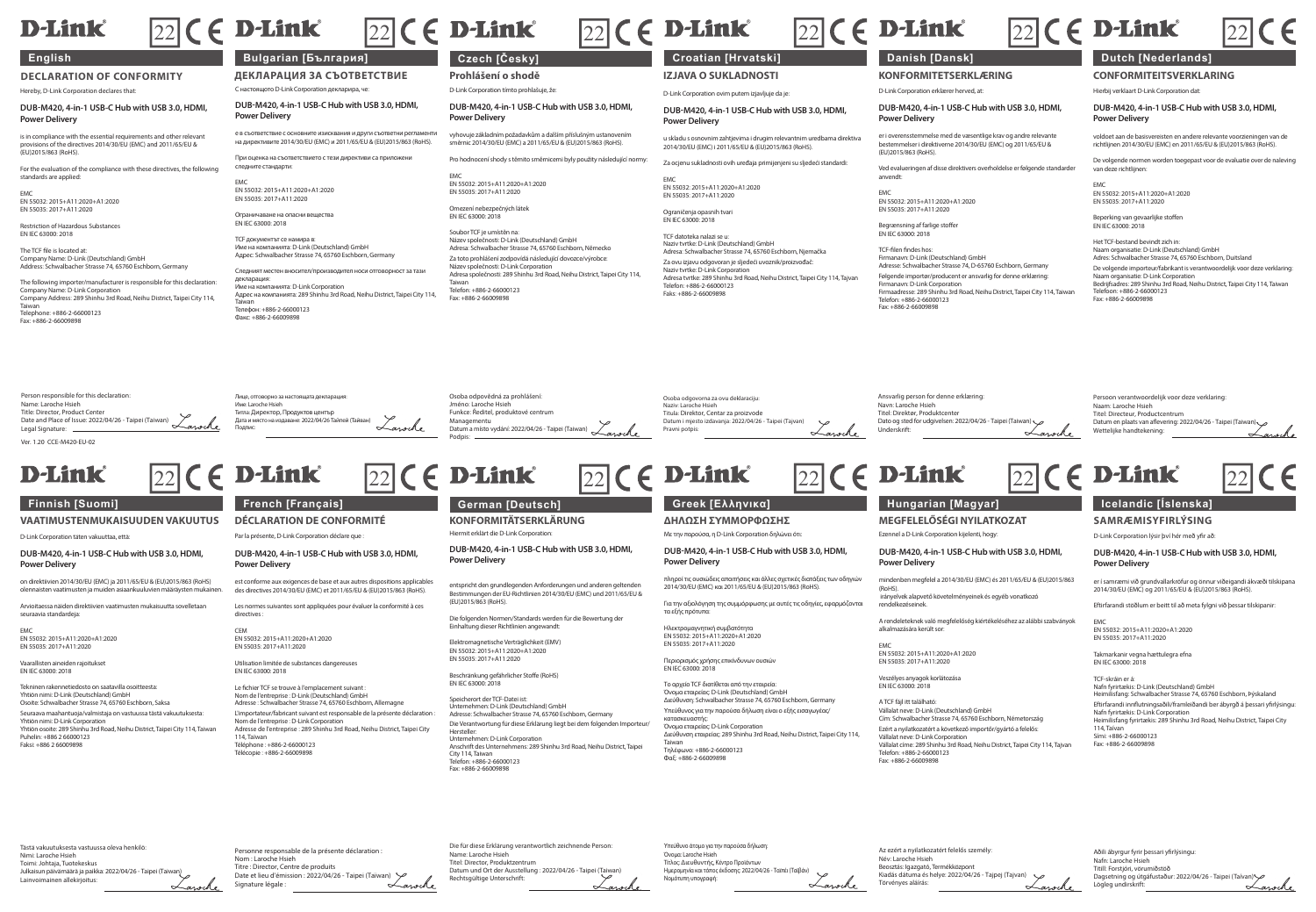# **D-Link**

**DECLARATION OF CONFORMITY** Hereby, D-Link Corporation declares that:

**DUB-M420, 4-in-1 USB-C Hub with USB 3.0, HDMI, Power Delivery**

is in compliance with the essential requirements and other relevant provisions of the directives 2014/30/EU (EMC) and 2011/65/EU & FILMING OF THE CHE

For the evaluation of the compliance with these directives, the following standards are applied:

EMC EN 55032: 2015+A11:2020+A1:2020 EN 55035: 2017+A11:2020

Restriction of Hazardous Substances EN IEC 63000: 2018

The TCF file is located at: Company Name: D-Link (Deutschland) GmbH Address: Schwalbacher Strasse 74, 65760 Eschborn, Germany

The following importer/manufacturer is responsible for this declaration: Company Name: D-Link Corporation Company Address: 289 Shinhu 3rd Road, Neihu District, Taipei City 114, Taiwan Telephone: +886-2-66000123 Fax: +886-2-66009898

С настоящото D-Link Corporation декларира, че: **ДЕКЛАРАЦИЯ ЗА СЪОТВЕТСТВИЕ**

**DUB-M420, 4-in-1 USB-C Hub with USB 3.0, HDMI, Power Delivery**

е в съответствие с основните изисквания и други съответни регламенти на директивите 2014/30/EU (EMC) и 2011/65/EU & (EU)2015/863 (RoHS).

При оценка на съответствието с тези директиви са приложени следните стандарти:

EM EE022: 2015 | A11-2020 | A1-2020 EN 55032: 2015+A11:2020+A1:2020 EN 55035: 2017+A11:2020

Факс: +886-2-66009898

е на опасни вешеств EN IEC 63000: 2018 TCF документът се намира в: Име на компанията: D-Link (Deutschland) GmbH

Адрес: Schwalbacher Strasse 74, 65760 Eschborn, Germany Следният местен вносител/производител носи отговорност за тази декларация: Име на компанията: D-Link Corporation Адрес на компанията: 289 Shinhu 3rd Road, Neihu District, Taipei City 114, Taiwan Телефон: +886-2-66000123

D-Link Corporation tímto prohlašuje, že:

**DUB-M420, 4-in-1 USB-C Hub with USB 3.0, HDMI, Power Delivery**

vyhovuje základním požadavkům a dalším příslušným ustanovením směrnic 2014/30/EU (EMC) a 2011/65/EU & (EU)2015/863 (RoHS).

EMC EN 55032: 2015+A11:2020+A1:2020 EN 55035: 2017+A11:2020

Omezení nebezpečných látek EN IEC 63000: 2018

Osoba odpovědná za prohlášení: Jméno: Laroche Hsieh Funkce: Ředitel, produktové centrum Managementu

Podpis:

Lawrence

Soubor TCF je umístěn na: Název společnosti: D-Link (Deutschland) GmbH Adresa: Schwalbacher Strasse 74, 65760 Eschborn, Německo Za toto prohlášení zodpovídá následující dovozce/výrobce: Název společnosti: D-Link Corporation Adresa společnosti: 289 Shinhu 3rd Road, Neihu District, Taipei City 114, Taiwan Telefon: +886-2-66000123 Fax: +886-2-66009898

# **English Bulgarian [България] Czech [Česky] Croatian [Hrvatski] Danish [Dansk] Dutch [Nederlands]**

**Prohlášení o shodě IZJAVA O SUKLADNOSTI** D-Link Corporation ovim putem izjavljuje da je:

> **DUB-M420, 4-in-1 USB-C Hub with USB 3.0, HDMI, Power Delivery** u skladu s osnovnim zahtjevima i drugim relevantnim uredbama direktiva

Pro hodnocení shody s těmito směrnicemi byly použity následující normy: 2014/30/EU (EMC) i 2011/65/EU & (EU)2015/863 (RoHS). Za ocjenu sukladnosti ovih uređaja primijenjeni su sljedeći standardi:

 $\boxed{22}$  (  $\in$  D-Link  $\boxed{22}$  (  $\in$  D-Link  $\boxed{22}$  (  $\in$  D-Link  $\boxed{22}$  ( $\in$  D-Link  $\boxed{22}$  ( $\in$  D-Link

EMC EN 55032: 2015+A11:2020+A1:2020 EN 55035: 2017+A11:2020

Ograničenja opasnih tvari EN IEC 63000: 2018

Osoba odgovorna za ovu deklaraciju: Naziv: Laroche Hsieh Titula: Direktor, Centar za proizvode Datum i mjesto izdavanja: 2022/04/26 - Taipei (Tajva

Pravni potpis:

TCF datoteka nalazi se u: Naziv tvrtke: D-Link (Deutschland) GmbH Adresa: Schwalbacher Strasse 74, 65760 Eschborn, Njemačka Za ovu izjavu odgovoran je sljedeći uvoznik/proizvođač: Naziv tvrtke: D-Link Corporation Adresa tvrtke: 289 Shinhu 3rd Road, Neihu District, Taipei City 114, Tajvan Telefon: +886-2-66000123 Faks: +996-2-66000989

**KONFORMITETSERKLÆRING** D-Link Corporation erklærer herved, at:

### **DUB-M420, 4-in-1 USB-C Hub with USB 3.0, HDMI, Power Delivery**

er i overensstemmelse med de væsentlige krav og andre relevante bestemmelser i direktiverne 2014/30/EU (EMC) og 2011/65/EU & (EU)2015/863 (RoHS).

Ved evalueringen af disse direktivers overholdelse er følgende standarder anvendt:

EMC EN 55032: 2015+A11:2020+A1:2020 EN 55035: 2017+A11:2020

Ansvarlig person for denne erklæring: Navn: Laroche Hsieh Titel: Direktør, Produktcente

Begrænsning af farlige stoffer EN IEC 63000: 2018

TCF-filen findes hos: Firmanavn: D-Link (Deutschland) GmbH Adresse: Schwalbacher Strasse 74, D-65760 Eschborn, Germany Følgende importør/producent er ansvarlig for denne erklæring: Firmanavn: D-Link Corporation Firmaadresse: 289 Shinhu 3rd Road, Neihu District, Taipei City 114, Taiwan Telefon: +886-2-66000123 Fax: +886-2-66009898

Hierbij verklaart D-Link Corporation dat: **CONFORMITEITSVERKLARING**

### **DUB-M420, 4-in-1 USB-C Hub with USB 3.0, HDMI, Power Delivery**

voldoet aan de basisvereisten en andere relevante voorzieningen van de richtlijnen 2014/30/EU (EMC) en 2011/65/EU & (EU)2015/863 (RoHS).

De volgende normen worden toegepast voor de evaluatie over de naleving van deze richtlijnen:

EMC<br>EN 66022-2016 (A11-2020) A1-2020 EN 55032: 2015+A11:2020+A1:2020 EN 55035: 2017+A11:2020

Beperking van gevaarlijke stoffen

EN IEC 63000: 2018

Het TCF-bestand bevindt zich in: Naam organisatie: D-Link (Deutschland) GmbH Adres: Schwalbacher Strasse 74, 65760 Eschborn, Duitsland De volgende importeur/fabrikant is verantwoordelijk voor deze verklaring: Naam organisatie: D-Link Corporation Bedrijfsadres: 289 Shinhu 3rd Road, Neihu District, Taipei City 114, Taiwan Telefoon: +886-2-66000123 Fax: +886-2-66009898

Person responsible for this declaration: Name: Laroche Hsieh Title: Director, Product Center Date and Place of Issue: 2022/04/26 - Taipei (Taiwan) Legal Signature: Лице, отговорно за настоящата декларация: Име: Laroche Hsieh Титла: Директор, Продуктов център Дата и място на издаване: 2022/04/26 Тайпей (Тайван) Подпис:

Ver. 1.20 CCE-M420-EU-02

# D-Link

## **Finnish [Suomi] French [Français] German [Deutsch] Greek [Ελληνικα] Hungarian [Magyar] Icelandic [Íslenska]**

**VAATIMUSTENMUKAISUUDEN VAKUUTUS**

D-Link Corporation täten vakuuttaa, että:

**DUB-M420, 4-in-1 USB-C Hub with USB 3.0, HDMI, Power Delivery**

on direktiivien 2014/30/EU (EMC) ja 2011/65/EU & (EU)2015/863 (RoHS) olennaisten vaatimusten ja muiden asiaankuuluvien määräysten mukainen.

Arvioitaessa näiden direktiivien vaatimusten mukaisuutta sovelletaan seuraavia standardeja:

EMC EN 55032: 2015+A11:2020+A1:2020 EN 55035: 2017+A11:2020

Vaarallisten aineiden rajoitukset EN IEC 63000: 2018

Tekninen rakennetiedosto on saatavilla osoitteesta: Yhtiön nimi: D-Link (Deutschland) GmbH Osoite: Schwalbacher Strasse 74, 65760 Eschborn, Saksa

Seuraava maahantuoja/valmistaja on vastuussa tästä vakuutuksesta: Yhtiön nimi: D-Link Corporation

Yhtiön osoite: 289 Shinhu 3rd Road, Neihu District, Taipei City 114, Taiwan Puhelin: +886 2 66000123 r unemr. +660 z 0<br>Faksi: +886 2 6600

Tästä vakuutuksesta vastuussa oleva henkilö: Nimi: Laroche Hsieh Toimi: Johtaja, Tuotekeskus

Lainvoimainen allekirjoitus:

Julkaisun päivämäärä ja paikka: 2022/04/26 - Taipei (Taiwan)

**DÉCLARATION DE CONFORMITÉ**

Par la présente, D-Link Corporation déclare que :

### **DUB-M420, 4-in-1 USB-C Hub with USB 3.0, HDMI, Power Delivery**

est conforme aux exigences de base et aux autres dispositions applicables des directives 2014/30/EU (EMC) et 2011/65/EU & (EU)2015/863 (RoHS).

Les normes suivantes sont appliquées pour évaluer la conformité à ces directives :

CEM EN 55032: 2015+A11:2020+A1:2020 EN 55035: 2017+A11:2020 Utilisation limitée de substances dangereuses

EN IEC 63000: 2018 Le fichier TCF se trouve à l'emplacement suivant :

Nom de l'entreprise : D-Link (Deutschland) GmbH Adresse : Schwalbacher Strasse 74, 65760 Eschborn, Allemagne L'importateur/fabricant suivant est responsable de la présente déclaration<br>Nom de l'entrenrise : D-Link Cornoration Nom de l'entreprise : D-Link Corporation Adresse de l'entreprise : 289 Shinhu 3rd Road, Neihu District, Taipei City 114, Taïwan Téléphone : +886-2-66000123 Télécopie : +886-2-66009898

Personne responsable de la présente déclaration :

nue : Date et lieu d'émission : 2022/04/26 - Taipei (Taïwan)<br>Signature légale :

Nom : Laroche Hsieh Titre : Director, Centre de produits

Signature légale :

Lawrence

Datum a místo vydání: 2022/04/26 - Taipei (Taiwan)

Hiermit erklärt die D-Link Corporation: **KONFORMITÄTSERKLÄRUNG ΔΗΛΩΣΗ ΣΥΜΜΟΡΦΩΣΗΣ**

**DUB-M420, 4-in-1 USB-C Hub with USB 3.0, HDMI, Power Delivery**

entspricht den grundlegenden Anforderungen und anderen geltenden Bestimmungen der EU-Richtlinien 2014/30/EU (EMC) und 2011/65/EU & (EU)2015/863 (RoHS).

Die folgenden Normen/Standards werden für die Bewertung der Einhaltung dieser Richtlinien angewandt:

Elektromagnetische Verträglichkeit (EMV) EN 55032: 2015+A11:2020+A1:2020 EN 55035: 2017+A11:2020

Beschränkung gefährlicher Stoffe (RoHS) EN IEC 63000: 2019

Speicherort der TCF-Datei ist: Unternehmen: D-Link (Deutschland) GmbH Adresse: Schwalbacher Strasse 74, 65760 Eschborn, Germany Die Verantwortung für diese Erklärung liegt bei dem folgenden Importeur/ Hersteller: Unternehmen: D-Link Corporation Anschrift des Unternehmens: 289 Shinhu 3rd Road, Neihu District, Taipei City 114, Taiwan Telefon: +886-2-66000123 Fax: +886-2-66009898

Die für diese Erklärung verantwortlich zeichnende Person:

Datum und Ort der Ausstellung : 2022/04/26 - Taipei (Taiwan)

Name: Laroche Hsieh Titel: Director, Produktzentrum

Rechtsgültige Unterschrift:

Με την παρούσα, η D-Link Corporation δηλώνει ότι:

**Power Delivery** πληροί τις ουσιώδεις απαιτήσεις και άλλες σχετικές διατάξεις των οδηγιών 2014/30/EU (EMC) και 2011/65/EU & (EU)2015/863 (RoHS).

Για την αξιολόγηση της συμμόρφωσης με αυτές τις οδηγίες, εφαρμόζονται τα εξής πρότυπα: Ηλεκτρομαγνητική συμβατότητα EN 55032: 2015+A11:2020+A1:2020 EN 55035: 2017+A11:2020

Περιορισμός χρήσης επικίνδυνων ουσιών EN IEC 63000: 2018

Υπεύθυνο άτομο για την παρούσα δήλωση: Όνομα: Laroche Hsieh Τίτλος: Διευθυντής, Κέντρο Προϊόντων Ημερομηνία και τόπος έκδοσης: 2022/04/26 - Ταϊπέι (Ταϊβάν)

Νομότυπη υπογραφή:

Το αρχείο TCF διατίθεται από την εταιρεία: Όνομα εταιρείας: D-Link (Deutschland) GmbH Διεύθυνση: Schwalbacher Strasse 74, 65760 Eschborn, Germany Υπεύθυνος για την παρούσα δήλωση είναι ο εξής εισαγωγέας/ κατασκευαστής: Όνομα εταιρείας: D-Link Corporation Διεύθυνση εταιρείας: 289 Shinhu 3rd Road, Neihu District, Taipei City 114, Taiwan Τηλέφωνο: +886-2-66000123 Φαξ: +886-2-66009898

**DUB-M420, 4-in-1 USB-C Hub with USB 3.0, HDMI,**  Ezennel a D-Link Corporation kijelenti, hogy: **DUB-M420, 4-in-1 USB-C Hub with USB 3.0, HDMI,** 

Underskrift:

**Power Delivery**

**MEGFELELŐSÉGI NYILATKOZAT**

Dato og sted for udgivelsen: 2022/04/26 - Taipei (Taiwan)

mindenben megfelel a 2014/30/EU (EMC) és 2011/65/EU & (EU)2015/863  $(D \cap \Box C)$ irányelvek alapvető követelményeinek és egyéb vonatkozó

rendelkezéseinek.

A rendeleteknek való megfelelőség kiértékeléséhez az alábbi szabványok alkalmazására került sor:

EMC EN 55032: 2015+A11:2020+A1:2020 EN 55035: 2017+A11:2020

Az ezért a nyilatkozatért felelős személy: Név: Laroche Hsieh Beosztás: Igazgató, Termékközpont Kiadás dátuma és helye: 2022/04/26 - Tajpej (Tajvan)

Törvényes aláírás:

Lawrke

Veszélyes anyagok korlátozása EN IEC 63000: 2018

A TCF fájl itt található: Vállalat neve: D-Link (Deutschland) GmbH Cím: Schwalbacher Strasse 74, 65760 Eschborn, Németország Ezért a nyilatkozatért a következő importőr/gyártó a felelős: Vállalat neve: D-Link Corporation Vállalat címe: 289 Shinhu 3rd Road, Neihu District, Taipei City 114, Tajvan Telefon: +886-2-66000123 Fax: +886-2-66009898

Persoon verantwoordelijk voor deze verklaring:<br>Naam: Laroche Heich Naam: Laroche Hsieh Titel: Directeur, Productcentrum Datum en plaats van aflevering: 2022/04/26 - Taipei (Taiwan) Wettelijke handtekening:

22 C ( D-Link 22 C ( D-Link 22 C ( D-Link 22 C ( D-Link 22 C ( D-Link 22

EMC

114, Taívan Sími: +886-2-66000123 Fax: +886-2-66009898

### **SAMRÆMISYFIRLÝSING**

EN 55032: 2015+A11:2020+A1:2020 EN 55035: 2017+A11:2020 Takmarkanir vegna hættulegra efna EN IEC 63000: 2018 TCF-skráin er á:

Nafn fyrirtækis: D-Link Corporation

Aðili ábyrgur fyrir þessari yfirlýsingu: Nafn: Laroche Hsieh Titill: Forstjóri, vörumiðstöð

Lögleg undirskrift:

Dagsetning og útgáfustaður: 2022/04/26 - Taipei (Taívan)

Lawrence

Nafn fyrirtækis: D-Link (Deutschland) GmbH Heimilisfang: Schwalbacher Strasse 74, 65760 Eschborn, Þýskaland Eftirfarandi innflutningsaðili/framleiðandi ber ábyrgð á þessari yfirlýsingu:

D-Link Corporation lýsir því hér með yfir að:

### **DUB-M420, 4-in-1 USB-C Hub with USB 3.0, HDMI, Power Delivery** er í samræmi við grundvallarkröfur og önnur viðeigandi ákvæði tilskipana

Heimilisfang fyrirtækis: 289 Shinhu 3rd Road, Neihu District, Taipei City

2014/30/EU (EMC) og 2011/65/EU & (EU)2015/863 (RoHS). Eftirfarandi stöðlum er beitt til að meta fylgni við þessar tilskipanir: